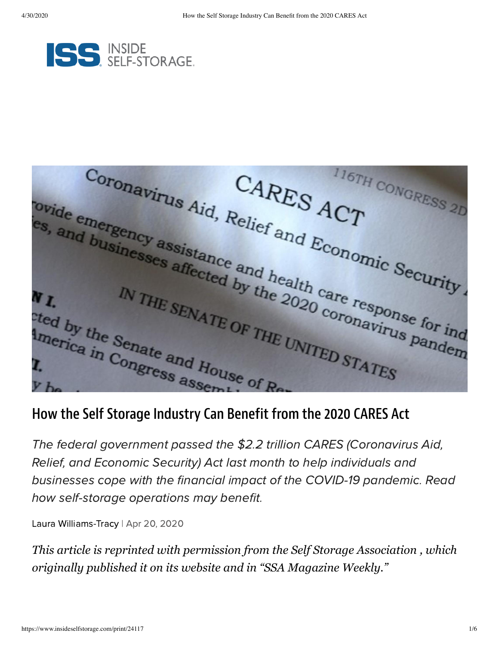

CORONAVITUS Aid, Relief and ECONOMIC Security. ovide emergency assistance and health care response for independent the Senate Security of the Senate of THE UNITER Pandem ovide emergency assistance and health care response for ind and by the Senate and Horn THE UNITED STATES. IN THE SENATE OF THE UNITED STATES Cted by the Senate and House of Reports of Reports of Reports of Reports of Reports of Reports of Reports of Reports of Reports of Reports of Reports of Reports of Reports of Reports of Reports of Reports of Reports of Rep

## How the Self Storage Industry Can Benefit from the 2020 CARES Act

The federal government passed the \$2.2 trillion CARES (Coronavirus Aid, Relief, and Economic Security) Act last month to help individuals and businesses cope with the financial impact of the COVID-19 pandemic. Read how self-storage operations may benefit.

Laura [Williams-Tracy](https://www.insideselfstorage.com/author/Laura-Williams-Tracy) | Apr 20, 2020

*This article is reprinted with permission from the [Self Storage Association](https://www.selfstorage.org/) , which originally published it on its website and in "SSA Magazine Weekly."*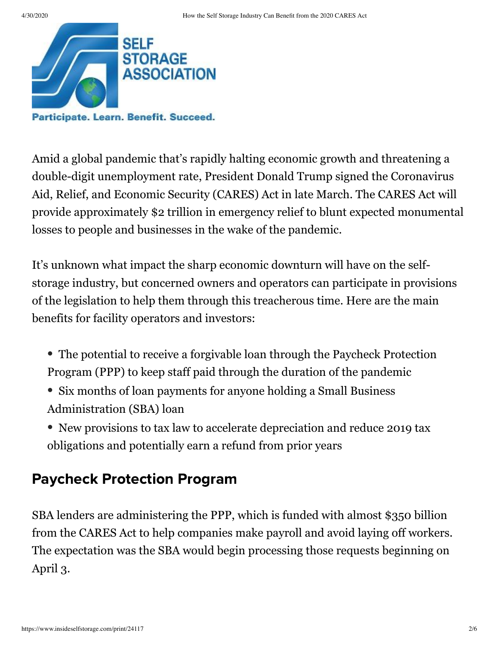

Participate. Learn. Benefit. Succeed.

Amid a global pandemic that's rapidly halting economic growth and threatening a double-digit unemployment rate, President Donald Trump signed the Coronavirus Aid, Relief, and Economic Security (CARES) Act in late March. The CARES Act will provide approximately \$2 trillion in emergency relief to blunt expected monumental losses to people and businesses in the wake of the pandemic.

It's unknown what impact the sharp economic downturn will have on the selfstorage industry, but concerned owners and operators can participate in provisions of the legislation to help them through this treacherous time. Here are the main benefits for facility operators and investors:

- The potential to receive a forgivable loan through the Paycheck Protection Program (PPP) to keep staff paid through the duration of the pandemic
- Six months of loan payments for anyone holding a Small Business Administration (SBA) loan
- New provisions to tax law to accelerate depreciation and reduce 2019 tax obligations and potentially earn a refund from prior years

## Paycheck Protection Program

SBA lenders are administering the PPP, which is funded with almost \$350 billion from the CARES Act to help companies make payroll and avoid laying off workers. The expectation was the SBA would begin processing those requests beginning on April 3.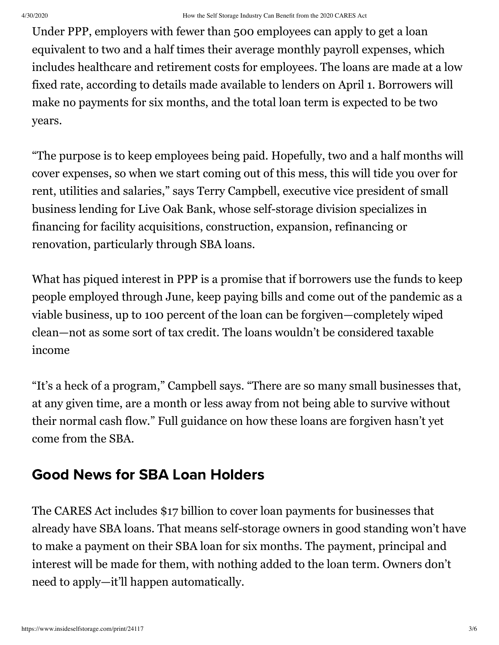Under PPP, employers with fewer than 500 employees can apply to get a loan equivalent to two and a half times their average monthly payroll expenses, which includes healthcare and retirement costs for employees. The loans are made at a low fixed rate, according to details made available to lenders on April 1. Borrowers will make no payments for six months, and the total loan term is expected to be two years.

"The purpose is to keep employees being paid. Hopefully, two and a half months will cover expenses, so when we start coming out of this mess, this will tide you over for rent, utilities and salaries," says Terry Campbell, executive vice president of small business lending for Live Oak Bank, whose self-storage division specializes in financing for facility acquisitions, construction, expansion, refinancing or renovation, particularly through SBA loans.

What has piqued interest in PPP is a promise that if borrowers use the funds to keep people employed through June, keep paying bills and come out of the pandemic as a viable business, up to 100 percent of the loan can be forgiven—completely wiped clean—not as some sort of tax credit. The loans wouldn't be considered taxable income

"It's a heck of a program," Campbell says. "There are so many small businesses that, at any given time, are a month or less away from not being able to survive without their normal cash flow." Full guidance on how these loans are forgiven hasn't yet come from the SBA.

## Good News for SBA Loan Holders

The CARES Act includes \$17 billion to cover loan payments for businesses that already have SBA loans. That means self-storage owners in good standing won't have to make a payment on their SBA loan for six months. The payment, principal and interest will be made for them, with nothing added to the loan term. Owners don't need to apply—it'll happen automatically.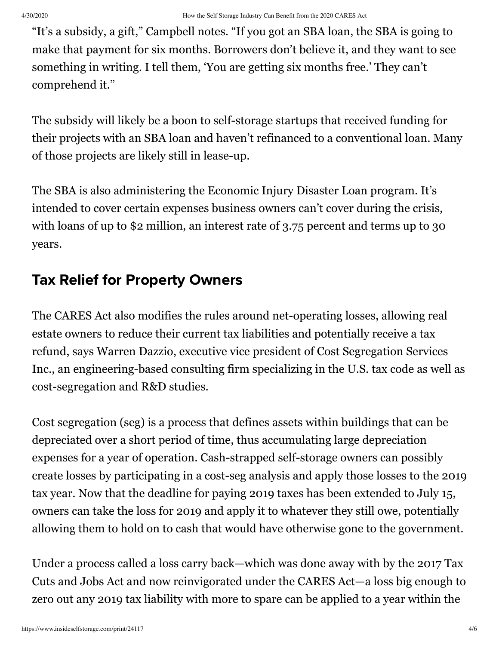"It's a subsidy, a gift," Campbell notes. "If you got an SBA loan, the SBA is going to make that payment for six months. Borrowers don't believe it, and they want to see something in writing. I tell them, 'You are getting six months free.' They can't comprehend it."

The subsidy will likely be a boon to self-storage startups that received funding for their projects with an SBA loan and haven't refinanced to a conventional loan. Many of those projects are likely still in lease-up.

The SBA is also administering the Economic Injury Disaster Loan program. It's intended to cover certain expenses business owners can't cover during the crisis, with loans of up to \$2 million, an interest rate of 3.75 percent and terms up to 30 years.

## Tax Relief for Property Owners

The CARES Act also modifies the rules around net-operating losses, allowing real estate owners to reduce their current tax liabilities and potentially receive a tax refund, says Warren Dazzio, executive vice president of Cost Segregation Services Inc., an engineering-based consulting firm specializing in the U.S. tax code as well as cost-segregation and R&D studies.

Cost segregation (seg) is a process that defines assets within buildings that can be depreciated over a short period of time, thus accumulating large depreciation expenses for a year of operation. Cash-strapped self-storage owners can possibly create losses by participating in a cost-seg analysis and apply those losses to the 2019 tax year. Now that the deadline for paying 2019 taxes has been extended to July 15, owners can take the loss for 2019 and apply it to whatever they still owe, potentially allowing them to hold on to cash that would have otherwise gone to the government.

Under a process called a loss carry back—which was done away with by the 2017 Tax Cuts and Jobs Act and now reinvigorated under the CARES Act—a loss big enough to zero out any 2019 tax liability with more to spare can be applied to a year within the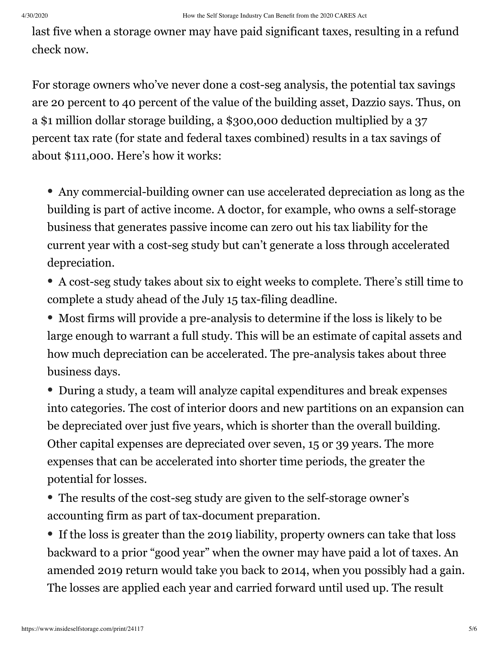last five when a storage owner may have paid significant taxes, resulting in a refund check now.

For storage owners who've never done a cost-seg analysis, the potential tax savings are 20 percent to 40 percent of the value of the building asset, Dazzio says. Thus, on a \$1 million dollar storage building, a \$300,000 deduction multiplied by a 37 percent tax rate (for state and federal taxes combined) results in a tax savings of about \$111,000. Here's how it works:

• Any commercial-building owner can use accelerated depreciation as long as the building is part of active income. A doctor, for example, who owns a self-storage business that generates passive income can zero out his tax liability for the current year with a cost-seg study but can't generate a loss through accelerated depreciation.

• A cost-seg study takes about six to eight weeks to complete. There's still time to complete a study ahead of the July 15 tax-filing deadline.

• Most firms will provide a pre-analysis to determine if the loss is likely to be large enough to warrant a full study. This will be an estimate of capital assets and how much depreciation can be accelerated. The pre-analysis takes about three business days.

• During a study, a team will analyze capital expenditures and break expenses into categories. The cost of interior doors and new partitions on an expansion can be depreciated over just five years, which is shorter than the overall building. Other capital expenses are depreciated over seven, 15 or 39 years. The more expenses that can be accelerated into shorter time periods, the greater the potential for losses.

• The results of the cost-seg study are given to the self-storage owner's accounting firm as part of tax-document preparation.

• If the loss is greater than the 2019 liability, property owners can take that loss backward to a prior "good year" when the owner may have paid a lot of taxes. An amended 2019 return would take you back to 2014, when you possibly had a gain. The losses are applied each year and carried forward until used up. The result